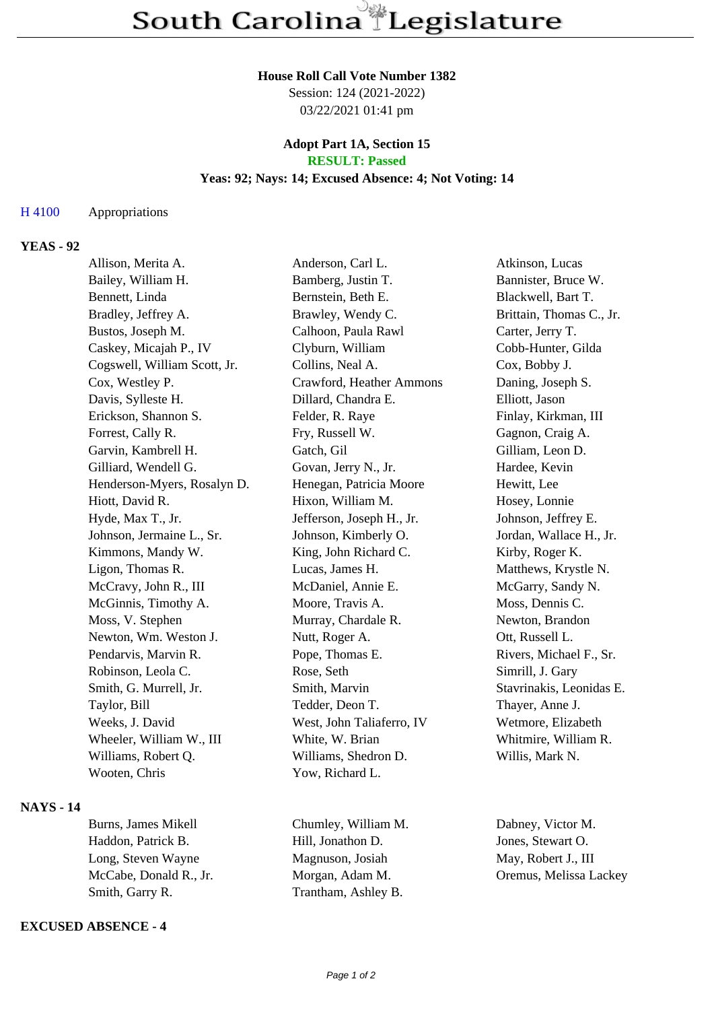#### **House Roll Call Vote Number 1382**

Session: 124 (2021-2022) 03/22/2021 01:41 pm

### **Adopt Part 1A, Section 15 RESULT: Passed**

### **Yeas: 92; Nays: 14; Excused Absence: 4; Not Voting: 14**

### H 4100 Appropriations

# **YEAS - 92**

| Allison, Merita A.           |  | Anderson, Carl L.         | Atkinson, Lucas          |
|------------------------------|--|---------------------------|--------------------------|
| Bailey, William H.           |  | Bamberg, Justin T.        | Bannister, Bruce W.      |
| Bennett, Linda               |  | Bernstein, Beth E.        | Blackwell, Bart T.       |
| Bradley, Jeffrey A.          |  | Brawley, Wendy C.         | Brittain, Thomas C., Jr. |
| Bustos, Joseph M.            |  | Calhoon, Paula Rawl       | Carter, Jerry T.         |
| Caskey, Micajah P., IV       |  | Clyburn, William          | Cobb-Hunter, Gilda       |
| Cogswell, William Scott, Jr. |  | Collins, Neal A.          | Cox, Bobby J.            |
| Cox, Westley P.              |  | Crawford, Heather Ammons  | Daning, Joseph S.        |
| Davis, Sylleste H.           |  | Dillard, Chandra E.       | Elliott, Jason           |
| Erickson, Shannon S.         |  | Felder, R. Raye           | Finlay, Kirkman, III     |
| Forrest, Cally R.            |  | Fry, Russell W.           | Gagnon, Craig A.         |
| Garvin, Kambrell H.          |  | Gatch, Gil                | Gilliam, Leon D.         |
| Gilliard, Wendell G.         |  | Govan, Jerry N., Jr.      | Hardee, Kevin            |
| Henderson-Myers, Rosalyn D.  |  | Henegan, Patricia Moore   | Hewitt, Lee              |
| Hiott, David R.              |  | Hixon, William M.         | Hosey, Lonnie            |
| Hyde, Max T., Jr.            |  | Jefferson, Joseph H., Jr. | Johnson, Jeffrey E.      |
| Johnson, Jermaine L., Sr.    |  | Johnson, Kimberly O.      | Jordan, Wallace H., Jr.  |
| Kimmons, Mandy W.            |  | King, John Richard C.     | Kirby, Roger K.          |
| Ligon, Thomas R.             |  | Lucas, James H.           | Matthews, Krystle N.     |
| McCravy, John R., III        |  | McDaniel, Annie E.        | McGarry, Sandy N.        |
| McGinnis, Timothy A.         |  | Moore, Travis A.          | Moss, Dennis C.          |
| Moss, V. Stephen             |  | Murray, Chardale R.       | Newton, Brandon          |
| Newton, Wm. Weston J.        |  | Nutt, Roger A.            | Ott, Russell L.          |
| Pendarvis, Marvin R.         |  | Pope, Thomas E.           | Rivers, Michael F., Sr.  |
| Robinson, Leola C.           |  | Rose, Seth                | Simrill, J. Gary         |
| Smith, G. Murrell, Jr.       |  | Smith, Marvin             | Stavrinakis, Leonidas E. |
| Taylor, Bill                 |  | Tedder, Deon T.           | Thayer, Anne J.          |
| Weeks, J. David              |  | West, John Taliaferro, IV | Wetmore, Elizabeth       |
| Wheeler, William W., III     |  | White, W. Brian           | Whitmire, William R.     |
| Williams, Robert Q.          |  | Williams, Shedron D.      | Willis, Mark N.          |
| Wooten, Chris                |  | Yow, Richard L.           |                          |
|                              |  |                           |                          |

## **NAYS - 14**

Haddon, Patrick B. Hill, Jonathon D. Jones, Stewart O. Long, Steven Wayne Magnuson, Josiah May, Robert J., III McCabe, Donald R., Jr. Morgan, Adam M. Oremus, Melissa Lackey Smith, Garry R. Trantham, Ashley B.

### **EXCUSED ABSENCE - 4**

Burns, James Mikell Chumley, William M. Dabney, Victor M.